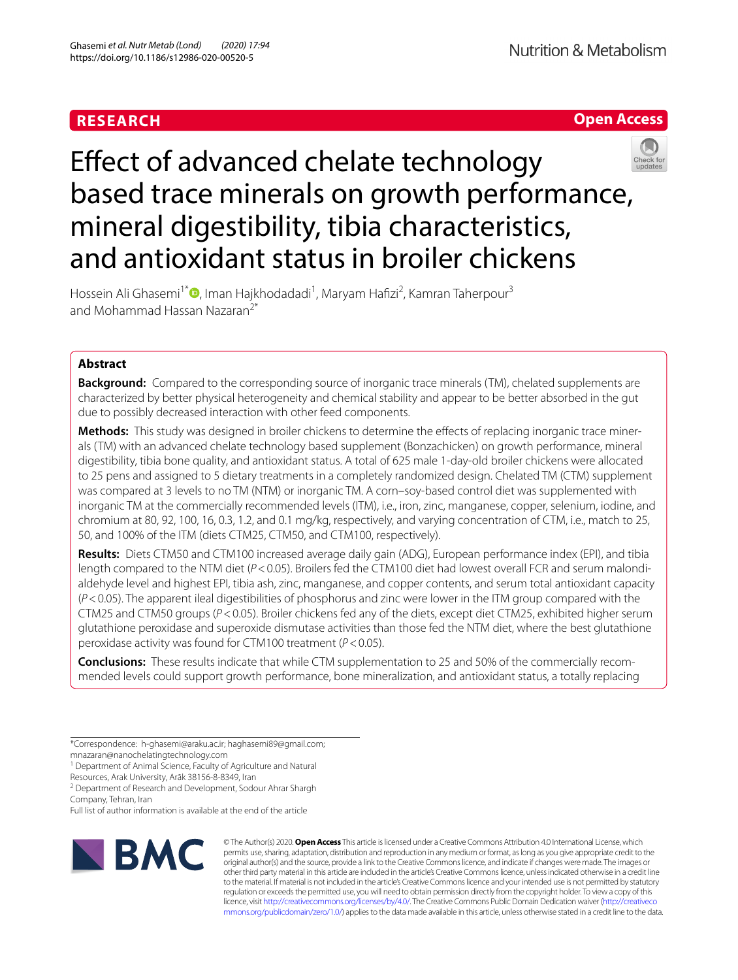# **RESEARCH**



# Efect of advanced chelate technology based trace minerals on growth performance, mineral digestibility, tibia characteristics, and antioxidant status in broiler chickens



Hossein Ali Ghasemi<sup>1\*</sup>®[,](http://orcid.org/0000-0003-4616-7597) Iman Hajkhodadadi<sup>1</sup>, Maryam Hafizi<sup>2</sup>, Kamran Taherpour<sup>3</sup> and Mohammad Hassan Nazaran2\*

# **Abstract**

**Background:** Compared to the corresponding source of inorganic trace minerals (TM), chelated supplements are characterized by better physical heterogeneity and chemical stability and appear to be better absorbed in the gut due to possibly decreased interaction with other feed components.

**Methods:** This study was designed in broiler chickens to determine the efects of replacing inorganic trace minerals (TM) with an advanced chelate technology based supplement (Bonzachicken) on growth performance, mineral digestibility, tibia bone quality, and antioxidant status. A total of 625 male 1-day-old broiler chickens were allocated to 25 pens and assigned to 5 dietary treatments in a completely randomized design. Chelated TM (CTM) supplement was compared at 3 levels to no TM (NTM) or inorganic TM. A corn–soy-based control diet was supplemented with inorganic TM at the commercially recommended levels (ITM), i.e., iron, zinc, manganese, copper, selenium, iodine, and chromium at 80, 92, 100, 16, 0.3, 1.2, and 0.1 mg/kg, respectively, and varying concentration of CTM, i.e., match to 25, 50, and 100% of the ITM (diets CTM25, CTM50, and CTM100, respectively).

**Results:** Diets CTM50 and CTM100 increased average daily gain (ADG), European performance index (EPI), and tibia length compared to the NTM diet ( $P < 0.05$ ). Broilers fed the CTM100 diet had lowest overall FCR and serum malondialdehyde level and highest EPI, tibia ash, zinc, manganese, and copper contents, and serum total antioxidant capacity (*P*<0.05). The apparent ileal digestibilities of phosphorus and zinc were lower in the ITM group compared with the CTM25 and CTM50 groups (*P*<0.05). Broiler chickens fed any of the diets, except diet CTM25, exhibited higher serum glutathione peroxidase and superoxide dismutase activities than those fed the NTM diet, where the best glutathione peroxidase activity was found for CTM100 treatment (*P*<0.05).

**Conclusions:** These results indicate that while CTM supplementation to 25 and 50% of the commercially recommended levels could support growth performance, bone mineralization, and antioxidant status, a totally replacing

\*Correspondence: h-ghasemi@araku.ac.ir; haghasemi89@gmail.com; mnazaran@nanochelatingtechnology.com

<sup>1</sup> Department of Animal Science, Faculty of Agriculture and Natural

Resources, Arak University, Arāk 38156-8-8349, Iran

<sup>2</sup> Department of Research and Development, Sodour Ahrar Shargh Company, Tehran, Iran

Full list of author information is available at the end of the article



© The Author(s) 2020. **Open Access** This article is licensed under a Creative Commons Attribution 4.0 International License, which permits use, sharing, adaptation, distribution and reproduction in any medium or format, as long as you give appropriate credit to the original author(s) and the source, provide a link to the Creative Commons licence, and indicate if changes were made. The images or other third party material in this article are included in the article's Creative Commons licence, unless indicated otherwise in a credit line to the material. If material is not included in the article's Creative Commons licence and your intended use is not permitted by statutory regulation or exceeds the permitted use, you will need to obtain permission directly from the copyright holder. To view a copy of this licence, visit [http://creativecommons.org/licenses/by/4.0/.](http://creativecommons.org/licenses/by/4.0/) The Creative Commons Public Domain Dedication waiver ([http://creativeco](http://creativecommons.org/publicdomain/zero/1.0/) [mmons.org/publicdomain/zero/1.0/](http://creativecommons.org/publicdomain/zero/1.0/)) applies to the data made available in this article, unless otherwise stated in a credit line to the data.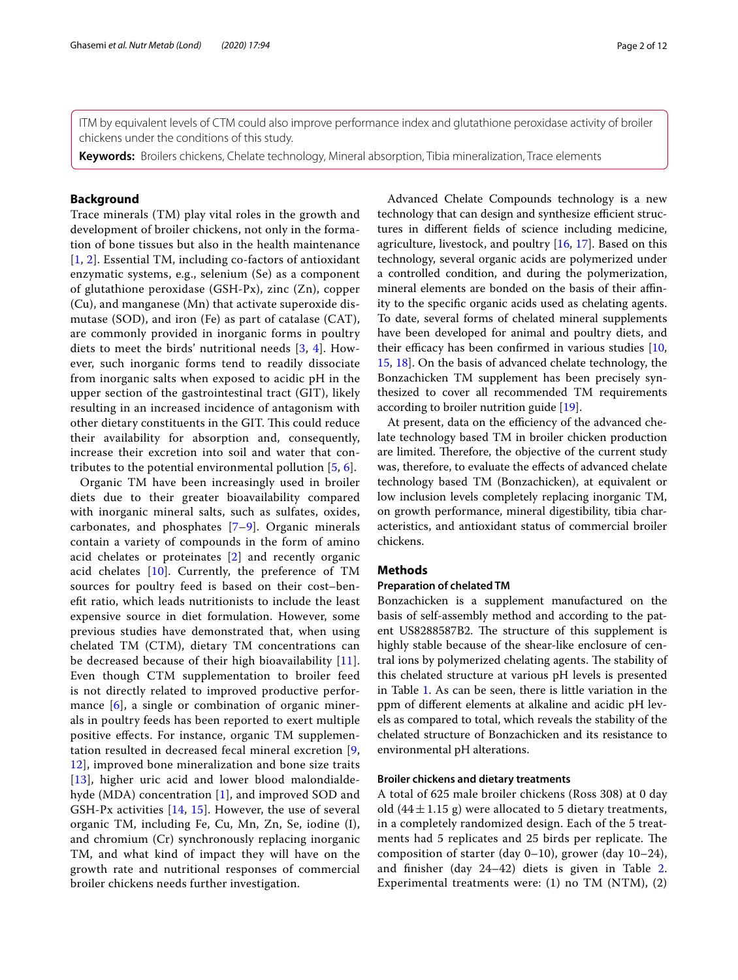ITM by equivalent levels of CTM could also improve performance index and glutathione peroxidase activity of broiler chickens under the conditions of this study.

**Keywords:** Broilers chickens, Chelate technology, Mineral absorption, Tibia mineralization, Trace elements

# **Background**

Trace minerals (TM) play vital roles in the growth and development of broiler chickens, not only in the formation of bone tissues but also in the health maintenance [[1](#page-10-0), [2](#page-10-1)]. Essential TM, including co-factors of antioxidant enzymatic systems, e.g., selenium (Se) as a component of glutathione peroxidase (GSH-Px), zinc (Zn), copper (Cu), and manganese (Mn) that activate superoxide dismutase (SOD), and iron (Fe) as part of catalase (CAT), are commonly provided in inorganic forms in poultry diets to meet the birds' nutritional needs [[3,](#page-10-2) [4\]](#page-10-3). However, such inorganic forms tend to readily dissociate from inorganic salts when exposed to acidic pH in the upper section of the gastrointestinal tract (GIT), likely resulting in an increased incidence of antagonism with other dietary constituents in the GIT. This could reduce their availability for absorption and, consequently, increase their excretion into soil and water that contributes to the potential environmental pollution [[5,](#page-10-4) [6](#page-10-5)].

Organic TM have been increasingly used in broiler diets due to their greater bioavailability compared with inorganic mineral salts, such as sulfates, oxides, carbonates, and phosphates [[7–](#page-10-6)[9\]](#page-10-7). Organic minerals contain a variety of compounds in the form of amino acid chelates or proteinates [[2\]](#page-10-1) and recently organic acid chelates [\[10](#page-10-8)]. Currently, the preference of TM sources for poultry feed is based on their cost–benefit ratio, which leads nutritionists to include the least expensive source in diet formulation. However, some previous studies have demonstrated that, when using chelated TM (CTM), dietary TM concentrations can be decreased because of their high bioavailability [[11](#page-10-9)]. Even though CTM supplementation to broiler feed is not directly related to improved productive performance [[6\]](#page-10-5), a single or combination of organic minerals in poultry feeds has been reported to exert multiple positive efects. For instance, organic TM supplementation resulted in decreased fecal mineral excretion [\[9](#page-10-7), [12\]](#page-10-10), improved bone mineralization and bone size traits [[13](#page-10-11)], higher uric acid and lower blood malondialdehyde (MDA) concentration [\[1](#page-10-0)], and improved SOD and GSH-Px activities [[14,](#page-10-12) [15](#page-10-13)]. However, the use of several organic TM, including Fe, Cu, Mn, Zn, Se, iodine (I), and chromium (Cr) synchronously replacing inorganic TM, and what kind of impact they will have on the growth rate and nutritional responses of commercial broiler chickens needs further investigation.

Advanced Chelate Compounds technology is a new technology that can design and synthesize efficient structures in diferent felds of science including medicine, agriculture, livestock, and poultry  $[16, 17]$  $[16, 17]$  $[16, 17]$ . Based on this technology, several organic acids are polymerized under a controlled condition, and during the polymerization, mineral elements are bonded on the basis of their afnity to the specifc organic acids used as chelating agents. To date, several forms of chelated mineral supplements have been developed for animal and poultry diets, and their efficacy has been confirmed in various studies  $[10,$  $[10,$  $[10,$ [15,](#page-10-13) [18](#page-10-16)]. On the basis of advanced chelate technology, the Bonzachicken TM supplement has been precisely synthesized to cover all recommended TM requirements according to broiler nutrition guide [[19](#page-10-17)].

At present, data on the efficiency of the advanced chelate technology based TM in broiler chicken production are limited. Therefore, the objective of the current study was, therefore, to evaluate the efects of advanced chelate technology based TM (Bonzachicken), at equivalent or low inclusion levels completely replacing inorganic TM, on growth performance, mineral digestibility, tibia characteristics, and antioxidant status of commercial broiler chickens.

# **Methods**

# **Preparation of chelated TM**

Bonzachicken is a supplement manufactured on the basis of self-assembly method and according to the patent US8288587B2. The structure of this supplement is highly stable because of the shear-like enclosure of central ions by polymerized chelating agents. The stability of this chelated structure at various pH levels is presented in Table [1](#page-2-0). As can be seen, there is little variation in the ppm of diferent elements at alkaline and acidic pH levels as compared to total, which reveals the stability of the chelated structure of Bonzachicken and its resistance to environmental pH alterations.

# **Broiler chickens and dietary treatments**

A total of 625 male broiler chickens (Ross 308) at 0 day old  $(44 \pm 1.15 \text{ g})$  were allocated to 5 dietary treatments, in a completely randomized design. Each of the 5 treatments had 5 replicates and 25 birds per replicate. The composition of starter (day 0–10), grower (day 10–24), and fnisher (day 24–42) diets is given in Table [2](#page-3-0). Experimental treatments were: (1) no TM (NTM), (2)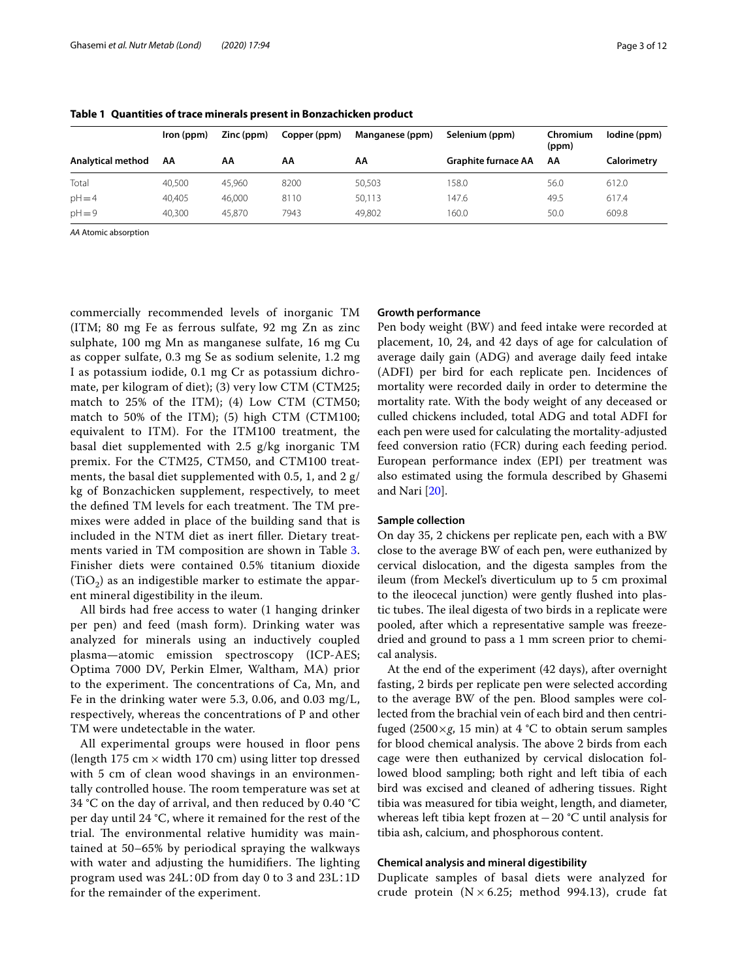|                   | Iron (ppm) | Zinc (ppm) | Copper (ppm) | Manganese (ppm) | Selenium (ppm)             | Chromium<br>(ppm) | lodine (ppm) |
|-------------------|------------|------------|--------------|-----------------|----------------------------|-------------------|--------------|
| Analytical method | AA         | AA         | АА           | АΑ              | <b>Graphite furnace AA</b> | ΑА                | Calorimetry  |
| Total             | 40,500     | 45.960     | 8200         | 50,503          | 158.0                      | 56.0              | 612.0        |
| $pH = 4$          | 40.405     | 46.000     | 8110         | 50,113          | 147.6                      | 49.5              | 617.4        |
| $pH = 9$          | 40.300     | 45.870     | 7943         | 49.802          | 160.0                      | 50.0              | 609.8        |

<span id="page-2-0"></span>**Table 1 Quantities of trace minerals present in Bonzachicken product**

*AA* Atomic absorption

commercially recommended levels of inorganic TM (ITM; 80 mg Fe as ferrous sulfate, 92 mg Zn as zinc sulphate, 100 mg Mn as manganese sulfate, 16 mg Cu as copper sulfate, 0.3 mg Se as sodium selenite, 1.2 mg I as potassium iodide, 0.1 mg Cr as potassium dichromate, per kilogram of diet); (3) very low CTM (CTM25; match to 25% of the ITM); (4) Low CTM (CTM50; match to 50% of the ITM); (5) high CTM (CTM100; equivalent to ITM). For the ITM100 treatment, the basal diet supplemented with 2.5 g/kg inorganic TM premix. For the CTM25, CTM50, and CTM100 treatments, the basal diet supplemented with 0.5, 1, and 2 g/ kg of Bonzachicken supplement, respectively, to meet the defined TM levels for each treatment. The TM premixes were added in place of the building sand that is included in the NTM diet as inert fller. Dietary treatments varied in TM composition are shown in Table [3](#page-4-0). Finisher diets were contained 0.5% titanium dioxide  $(TIO<sub>2</sub>)$  as an indigestible marker to estimate the apparent mineral digestibility in the ileum.

All birds had free access to water (1 hanging drinker per pen) and feed (mash form). Drinking water was analyzed for minerals using an inductively coupled plasma—atomic emission spectroscopy (ICP-AES; Optima 7000 DV, Perkin Elmer, Waltham, MA) prior to the experiment. The concentrations of Ca, Mn, and Fe in the drinking water were 5.3, 0.06, and 0.03 mg/L, respectively, whereas the concentrations of P and other TM were undetectable in the water.

All experimental groups were housed in floor pens (length 175 cm  $\times$  width 170 cm) using litter top dressed with 5 cm of clean wood shavings in an environmentally controlled house. The room temperature was set at 34 °C on the day of arrival, and then reduced by 0.40 °C per day until 24 °C, where it remained for the rest of the trial. The environmental relative humidity was maintained at 50–65% by periodical spraying the walkways with water and adjusting the humidifiers. The lighting program used was 24L∶0D from day 0 to 3 and 23L∶1D for the remainder of the experiment.

# **Growth performance**

Pen body weight (BW) and feed intake were recorded at placement, 10, 24, and 42 days of age for calculation of average daily gain (ADG) and average daily feed intake (ADFI) per bird for each replicate pen. Incidences of mortality were recorded daily in order to determine the mortality rate. With the body weight of any deceased or culled chickens included, total ADG and total ADFI for each pen were used for calculating the mortality-adjusted feed conversion ratio (FCR) during each feeding period. European performance index (EPI) per treatment was also estimated using the formula described by Ghasemi and Nari [\[20\]](#page-10-18).

# **Sample collection**

On day 35, 2 chickens per replicate pen, each with a BW close to the average BW of each pen, were euthanized by cervical dislocation, and the digesta samples from the ileum (from Meckel's diverticulum up to 5 cm proximal to the ileocecal junction) were gently fushed into plastic tubes. The ileal digesta of two birds in a replicate were pooled, after which a representative sample was freezedried and ground to pass a 1 mm screen prior to chemical analysis.

At the end of the experiment (42 days), after overnight fasting, 2 birds per replicate pen were selected according to the average BW of the pen. Blood samples were collected from the brachial vein of each bird and then centrifuged (2500×*g*, 15 min) at 4 °C to obtain serum samples for blood chemical analysis. The above 2 birds from each cage were then euthanized by cervical dislocation followed blood sampling; both right and left tibia of each bird was excised and cleaned of adhering tissues. Right tibia was measured for tibia weight, length, and diameter, whereas left tibia kept frozen at−20 °C until analysis for tibia ash, calcium, and phosphorous content.

# **Chemical analysis and mineral digestibility**

Duplicate samples of basal diets were analyzed for crude protein ( $N \times 6.25$ ; method 994.13), crude fat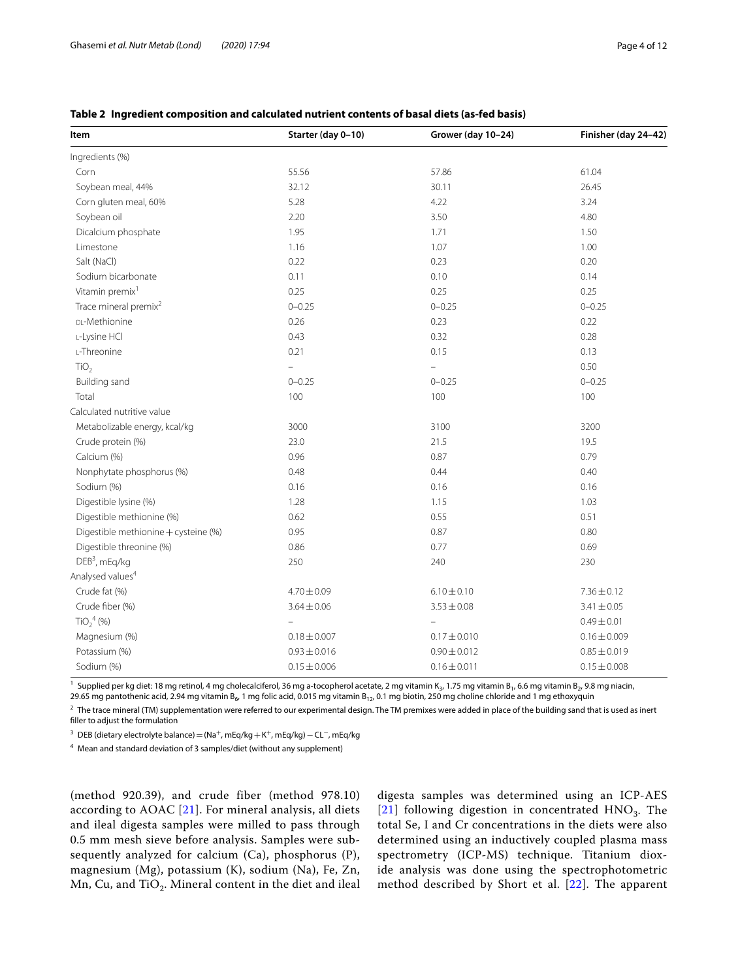| Item                                 | Starter (day 0-10) | Grower (day 10-24) | Finisher (day 24-42) |
|--------------------------------------|--------------------|--------------------|----------------------|
| Ingredients (%)                      |                    |                    |                      |
| Corn                                 | 55.56              | 57.86              | 61.04                |
| Soybean meal, 44%                    | 32.12              | 30.11              | 26.45                |
| Corn gluten meal, 60%                | 5.28               | 4.22               | 3.24                 |
| Soybean oil                          | 2.20               | 3.50               | 4.80                 |
| Dicalcium phosphate                  | 1.95               | 1.71               | 1.50                 |
| Limestone                            | 1.16               | 1.07               | 1.00                 |
| Salt (NaCl)                          | 0.22               | 0.23               | 0.20                 |
| Sodium bicarbonate                   | 0.11               | 0.10               | 0.14                 |
| Vitamin premix <sup>1</sup>          | 0.25               | 0.25               | 0.25                 |
| Trace mineral premix <sup>2</sup>    | $0 - 0.25$         | $0 - 0.25$         | $0 - 0.25$           |
| DL-Methionine                        | 0.26               | 0.23               | 0.22                 |
| L-Lysine HCl                         | 0.43               | 0.32               | 0.28                 |
| L-Threonine                          | 0.21               | 0.15               | 0.13                 |
| TiO <sub>2</sub>                     |                    |                    | 0.50                 |
| <b>Building sand</b>                 | $0 - 0.25$         | $0 - 0.25$         | $0 - 0.25$           |
| Total                                | 100                | 100                | 100                  |
| Calculated nutritive value           |                    |                    |                      |
| Metabolizable energy, kcal/kg        | 3000               | 3100               | 3200                 |
| Crude protein (%)                    | 23.0               | 21.5               | 19.5                 |
| Calcium (%)                          | 0.96               | 0.87               | 0.79                 |
| Nonphytate phosphorus (%)            | 0.48               | 0.44               | 0.40                 |
| Sodium (%)                           | 0.16               | 0.16               | 0.16                 |
| Digestible lysine (%)                | 1.28               | 1.15               | 1.03                 |
| Digestible methionine (%)            | 0.62               | 0.55               | 0.51                 |
| Digestible methionine + cysteine (%) | 0.95               | 0.87               | 0.80                 |
| Digestible threonine (%)             | 0.86               | 0.77               | 0.69                 |
| DEB <sup>3</sup> , mEq/kg            | 250                | 240                | 230                  |
| Analysed values <sup>4</sup>         |                    |                    |                      |
| Crude fat (%)                        | $4.70 \pm 0.09$    | $6.10 \pm 0.10$    | $7.36 \pm 0.12$      |
| Crude fiber (%)                      | $3.64 \pm 0.06$    | $3.53 \pm 0.08$    | $3.41 \pm 0.05$      |
| $TiO24$ (%)                          |                    |                    | $0.49 \pm 0.01$      |
| Magnesium (%)                        | $0.18 \pm 0.007$   | $0.17 \pm 0.010$   | $0.16 \pm 0.009$     |
| Potassium (%)                        | $0.93 \pm 0.016$   | $0.90 \pm 0.012$   | $0.85 \pm 0.019$     |
| Sodium (%)                           | $0.15 \pm 0.006$   | $0.16 \pm 0.011$   | $0.15 \pm 0.008$     |

# <span id="page-3-0"></span>**Table 2 Ingredient composition and calculated nutrient contents of basal diets (as-fed basis)**

<sup>1</sup> Supplied per kg diet: 18 mg retinol, 4 mg cholecalciferol, 36 mg a-tocopherol acetate, 2 mg vitamin K<sub>3</sub>, 1.75 mg vitamin B<sub>1</sub>, 6.6 mg vitamin B<sub>2</sub>, 9.8 mg niacin, 29.65 mg pantothenic acid, 2.94 mg vitamin B<sub>6</sub>, 1 mg folic acid, 0.015 mg vitamin B<sub>12</sub>, 0.1 mg biotin, 250 mg choline chloride and 1 mg ethoxyquin

 $2$  The trace mineral (TM) supplementation were referred to our experimental design. The TM premixes were added in place of the building sand that is used as inert fller to adjust the formulation

<sup>3</sup> DEB (dietary electrolyte balance) = (Na<sup>+</sup>, mEq/kg + K<sup>+</sup>, mEq/kg) – CL<sup>-</sup>, mEq/kg

<sup>4</sup> Mean and standard deviation of 3 samples/diet (without any supplement)

(method 920.39), and crude fiber (method 978.10) according to AOAC [\[21\]](#page-10-19). For mineral analysis, all diets and ileal digesta samples were milled to pass through 0.5 mm mesh sieve before analysis. Samples were subsequently analyzed for calcium (Ca), phosphorus (P), magnesium (Mg), potassium (K), sodium (Na), Fe, Zn, Mn, Cu, and TiO<sub>2</sub>. Mineral content in the diet and ileal digesta samples was determined using an ICP-AES [[21](#page-10-19)] following digestion in concentrated  $HNO<sub>3</sub>$ . The total Se, I and Cr concentrations in the diets were also determined using an inductively coupled plasma mass spectrometry (ICP-MS) technique. Titanium dioxide analysis was done using the spectrophotometric method described by Short et al.  $[22]$  $[22]$ . The apparent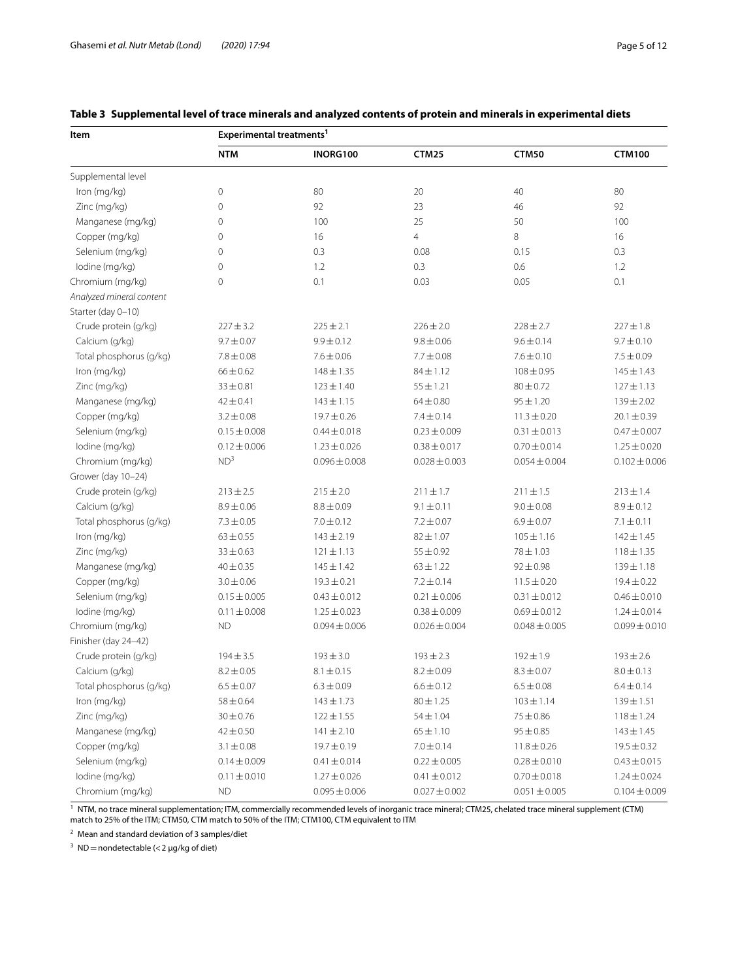| Item                     | Experimental treatments <sup>1</sup> |                   |                   |                   |                   |  |  |  |
|--------------------------|--------------------------------------|-------------------|-------------------|-------------------|-------------------|--|--|--|
|                          | <b>NTM</b>                           | INORG100          | <b>CTM25</b>      | <b>CTM50</b>      | <b>CTM100</b>     |  |  |  |
| Supplemental level       |                                      |                   |                   |                   |                   |  |  |  |
| Iron (mg/kg)             | $\mathbf 0$                          | 80                | 20                | 40                | 80                |  |  |  |
| Zinc (mg/kg)             | $\mathbf 0$                          | 92                | 23                | 46                | 92                |  |  |  |
| Manganese (mg/kg)        | 0                                    | 100               | 25                | 50                | 100               |  |  |  |
| Copper (mg/kg)           | $\mathbf 0$                          | 16                | 4                 | 8                 | 16                |  |  |  |
| Selenium (mg/kg)         | 0                                    | 0.3               | 0.08              | 0.15              | 0.3               |  |  |  |
| lodine (mg/kg)           | 0                                    | 1.2               | 0.3               | 0.6               | 1.2               |  |  |  |
| Chromium (mg/kg)         | $\mathbf 0$                          | 0.1               | 0.03              | 0.05              | 0.1               |  |  |  |
| Analyzed mineral content |                                      |                   |                   |                   |                   |  |  |  |
| Starter (day 0-10)       |                                      |                   |                   |                   |                   |  |  |  |
| Crude protein (g/kg)     | $227 \pm 3.2$                        | $225 \pm 2.1$     | $226 \pm 2.0$     | $228 \pm 2.7$     | $227 \pm 1.8$     |  |  |  |
| Calcium (g/kg)           | $9.7 \pm 0.07$                       | $9.9 \pm 0.12$    | $9.8 \pm 0.06$    | $9.6 \pm 0.14$    | $9.7 \pm 0.10$    |  |  |  |
| Total phosphorus (g/kg)  | $7.8 \pm 0.08$                       | $7.6 \pm 0.06$    | $7.7 \pm 0.08$    | $7.6 \pm 0.10$    | $7.5 \pm 0.09$    |  |  |  |
| Iron (mg/kg)             | $66 \pm 0.62$                        | $148 \pm 1.35$    | $84 \pm 1.12$     | $108 \pm 0.95$    | $145 \pm 1.43$    |  |  |  |
| Zinc (mg/kg)             | $33 \pm 0.81$                        | $123 \pm 1.40$    | $55 \pm 1.21$     | $80 + 0.72$       | $127 \pm 1.13$    |  |  |  |
| Manganese (mg/kg)        | $42 \pm 0.41$                        | $143 \pm 1.15$    | $64 \pm 0.80$     | $95 \pm 1.20$     | $139 \pm 2.02$    |  |  |  |
| Copper (mg/kg)           | $3.2 \pm 0.08$                       | $19.7 \pm 0.26$   | $7.4 \pm 0.14$    | $11.3 \pm 0.20$   | $20.1 \pm 0.39$   |  |  |  |
| Selenium (mg/kg)         | $0.15 \pm 0.008$                     | $0.44 \pm 0.018$  | $0.23 \pm 0.009$  | $0.31 \pm 0.013$  | $0.47 \pm 0.007$  |  |  |  |
| lodine (mg/kg)           | $0.12 \pm 0.006$                     | $1.23 \pm 0.026$  | $0.38 \pm 0.017$  | $0.70 \pm 0.014$  | $1.25 \pm 0.020$  |  |  |  |
| Chromium (mg/kg)         | ND <sup>3</sup>                      | $0.096 \pm 0.008$ | $0.028 \pm 0.003$ | $0.054 \pm 0.004$ | $0.102 \pm 0.006$ |  |  |  |
| Grower (day 10-24)       |                                      |                   |                   |                   |                   |  |  |  |
| Crude protein (g/kg)     | $213 \pm 2.5$                        | $215 \pm 2.0$     | $211\pm1.7$       | $211 \pm 1.5$     | $213 \pm 1.4$     |  |  |  |
| Calcium (g/kg)           | $8.9 \pm 0.06$                       | $8.8 \pm 0.09$    | $9.1 \pm 0.11$    | $9.0 \pm 0.08$    | $8.9 \pm 0.12$    |  |  |  |
| Total phosphorus (g/kg)  | $7.3 \pm 0.05$                       | $7.0 \pm 0.12$    | $7.2 \pm 0.07$    | $6.9 \pm 0.07$    | $7.1 \pm 0.11$    |  |  |  |
| Iron (mg/kg)             | $63 \pm 0.55$                        | $143 \pm 2.19$    | $82 \pm 1.07$     | $105 \pm 1.16$    | $142 \pm 1.45$    |  |  |  |
| Zinc (mg/kg)             | $33 \pm 0.63$                        | $121 \pm 1.13$    | $55 \pm 0.92$     | $78 + 1.03$       | $118 \pm 1.35$    |  |  |  |
| Manganese (mg/kg)        | $40 \pm 0.35$                        | $145 \pm 1.42$    | $63 \pm 1.22$     | $92 \pm 0.98$     | $139 \pm 1.18$    |  |  |  |
| Copper (mg/kg)           | $3.0 \pm 0.06$                       | $19.3 \pm 0.21$   | $7.2 \pm 0.14$    | $11.5 \pm 0.20$   | $19.4 \pm 0.22$   |  |  |  |
| Selenium (mg/kg)         | $0.15 \pm 0.005$                     | $0.43 \pm 0.012$  | $0.21 \pm 0.006$  | $0.31 \pm 0.012$  | $0.46 \pm 0.010$  |  |  |  |
| lodine (mg/kg)           | $0.11 \pm 0.008$                     | $1.25 \pm 0.023$  | $0.38 \pm 0.009$  | $0.69 \pm 0.012$  | $1.24 \pm 0.014$  |  |  |  |
| Chromium (mg/kg)         | <b>ND</b>                            | $0.094 \pm 0.006$ | $0.026 \pm 0.004$ | $0.048 \pm 0.005$ | $0.099 \pm 0.010$ |  |  |  |
| Finisher (day 24-42)     |                                      |                   |                   |                   |                   |  |  |  |
| Crude protein (g/kg)     | $194 \pm 3.5$                        | $193 \pm 3.0$     | $193 \pm 2.3$     | $192 \pm 1.9$     | $193 \pm 2.6$     |  |  |  |
| Calcium (g/kg)           | $8.2 \pm 0.05$                       | $8.1 \pm 0.15$    | $8.2 \pm 0.09$    | $8.3 \pm 0.07$    | $8.0 \pm 0.13$    |  |  |  |
| Total phosphorus (g/kg)  | $6.5 \pm 0.07$                       | $6.3 \pm 0.09$    | $6.6 \pm 0.12$    | $6.5\pm0.08$      | $6.4 \pm 0.14$    |  |  |  |
| Iron (mg/kg)             | $58 \pm 0.64$                        | $143 \pm 1.73$    | $80 \pm 1.25$     | $103 \pm 1.14$    | $139 \pm 1.51$    |  |  |  |
| Zinc (mg/kg)             | $30 \pm 0.76$                        | $122 \pm 1.55$    | $54 \pm 1.04$     | $75 \pm 0.86$     | $118 \pm 1.24$    |  |  |  |
| Manganese (mg/kg)        | $42 \pm 0.50$                        | $141 \pm 2.10$    | $65 \pm 1.10$     | $95 \pm 0.85$     | $143 \pm 1.45$    |  |  |  |
| Copper (mg/kg)           | $3.1 \pm 0.08$                       | $19.7 \pm 0.19$   | $7.0 \pm 0.14$    | $11.8 \pm 0.26$   | $19.5 \pm 0.32$   |  |  |  |
| Selenium (mg/kg)         | $0.14 \pm 0.009$                     | $0.41 \pm 0.014$  | $0.22 \pm 0.005$  | $0.28 \pm 0.010$  | $0.43 \pm 0.015$  |  |  |  |
| lodine (mg/kg)           | $0.11 \pm 0.010$                     | $1.27 \pm 0.026$  | $0.41 \pm 0.012$  | $0.70 \pm 0.018$  | $1.24 \pm 0.024$  |  |  |  |
| Chromium (mg/kg)         | ND.                                  | $0.095 \pm 0.006$ | $0.027 \pm 0.002$ | $0.051 \pm 0.005$ | $0.104 \pm 0.009$ |  |  |  |

# <span id="page-4-0"></span>**Table 3 Supplemental level of trace minerals and analyzed contents of protein and minerals in experimental diets**

<sup>1</sup> NTM, no trace mineral supplementation; ITM, commercially recommended levels of inorganic trace mineral; CTM25, chelated trace mineral supplement (CTM) match to 25% of the ITM; CTM50, CTM match to 50% of the ITM; CTM100, CTM equivalent to ITM

<sup>2</sup> Mean and standard deviation of 3 samples/diet

<sup>3</sup> ND = nondetectable (< 2  $\mu$ g/kg of diet)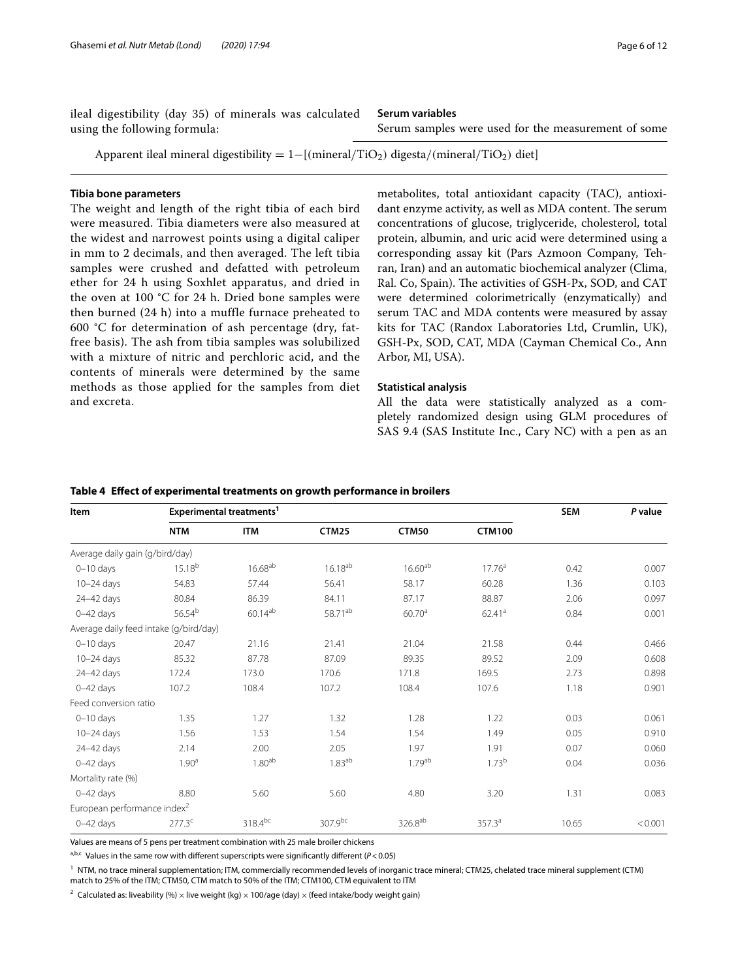ileal digestibility (day 35) of minerals was calculated using the following formula:

**Serum variables**

Serum samples were used for the measurement of some

Apparent ileal mineral digestibility =  $1-[{\rm (mineral/TiO<sub>2</sub>)}$  digesta/(mineral/TiO<sub>2</sub>) diet]

# **Tibia bone parameters**

The weight and length of the right tibia of each bird were measured. Tibia diameters were also measured at the widest and narrowest points using a digital caliper in mm to 2 decimals, and then averaged. The left tibia samples were crushed and defatted with petroleum ether for 24 h using Soxhlet apparatus, and dried in the oven at 100 °C for 24 h. Dried bone samples were then burned (24 h) into a muffle furnace preheated to 600  $\degree$ C for determination of ash percentage (dry, fatfree basis). The ash from tibia samples was solubilized with a mixture of nitric and perchloric acid, and the contents of minerals were determined by the same methods as those applied for the samples from diet and excreta.

metabolites, total antioxidant capacity (TAC), antioxidant enzyme activity, as well as MDA content. The serum concentrations of glucose, triglyceride, cholesterol, total protein, albumin, and uric acid were determined using a corresponding assay kit (Pars Azmoon Company, Tehran, Iran) and an automatic biochemical analyzer (Clima, Ral. Co, Spain). The activities of GSH-Px, SOD, and CAT were determined colorimetrically (enzymatically) and serum TAC and MDA contents were measured by assay kits for TAC (Randox Laboratories Ltd, Crumlin, UK), GSH-Px, SOD, CAT, MDA (Cayman Chemical Co., Ann Arbor, MI, USA).

# **Statistical analysis**

All the data were statistically analyzed as a completely randomized design using GLM procedures of SAS 9.4 (SAS Institute Inc., Cary NC) with a pen as an

## <span id="page-5-0"></span>**Table 4 Efect of experimental treatments on growth performance in broilers**

Values are means of 5 pens per treatment combination with 25 male broiler chickens

a,b,c Values in the same row with different superscripts were significantly different (P<0.05)

<sup>1</sup> NTM, no trace mineral supplementation; ITM, commercially recommended levels of inorganic trace mineral; CTM25, chelated trace mineral supplement (CTM)

match to 25% of the ITM; CTM50, CTM match to 50% of the ITM; CTM100, CTM equivalent to ITM

<sup>2</sup> Calculated as: liveability (%) × live weight (kg) × 100/age (day) × (feed intake/body weight gain)

|                                         | <b>NTM</b>         | <b>ITM</b>         | <b>CTM25</b>        | <b>CTM50</b>        | <b>CTM100</b>      |       |         |  |
|-----------------------------------------|--------------------|--------------------|---------------------|---------------------|--------------------|-------|---------|--|
| Average daily gain (g/bird/day)         |                    |                    |                     |                     |                    |       |         |  |
| $0-10$ days                             | $15.18^{b}$        | $16.68^{ab}$       | $16.18^{ab}$        | $16.60^{ab}$        | 17.76 <sup>a</sup> | 0.42  | 0.007   |  |
| $10-24$ days                            | 54.83              | 57.44              | 56.41               | 58.17               | 60.28              | 1.36  | 0.103   |  |
| 24-42 days                              | 80.84              | 86.39              | 84.11               | 87.17               | 88.87              | 2.06  | 0.097   |  |
| $0 - 42$ days                           | 56.54 <sup>b</sup> | $60.14^{ab}$       | 58.71 <sup>ab</sup> | 60.70 <sup>a</sup>  | 62.41 <sup>a</sup> | 0.84  | 0.001   |  |
| Average daily feed intake (g/bird/day)  |                    |                    |                     |                     |                    |       |         |  |
| $0-10$ days                             | 20.47              | 21.16              | 21.41               | 21.04               | 21.58              | 0.44  | 0.466   |  |
| $10-24$ days                            | 85.32              | 87.78              | 87.09               | 89.35               | 89.52              | 2.09  | 0.608   |  |
| 24-42 days                              | 172.4              | 173.0              | 170.6               | 171.8               | 169.5              | 2.73  | 0.898   |  |
| $0 - 42$ days                           | 107.2              | 108.4              | 107.2               | 108.4               | 107.6              | 1.18  | 0.901   |  |
| Feed conversion ratio                   |                    |                    |                     |                     |                    |       |         |  |
| $0-10$ days                             | 1.35               | 1.27               | 1.32                | 1.28                | 1.22               | 0.03  | 0.061   |  |
| $10-24$ days                            | 1.56               | 1.53               | 1.54                | 1.54                | 1.49               | 0.05  | 0.910   |  |
| 24-42 days                              | 2.14               | 2.00               | 2.05                | 1.97                | 1.91               | 0.07  | 0.060   |  |
| $0 - 42$ days                           | 1.90 <sup>a</sup>  | 1.80 <sup>ab</sup> | 1.83 <sup>ab</sup>  | 1.79 <sup>ab</sup>  | 1.73 <sup>b</sup>  | 0.04  | 0.036   |  |
| Mortality rate (%)                      |                    |                    |                     |                     |                    |       |         |  |
| $0 - 42$ days                           | 8.80               | 5.60               | 5.60                | 4.80                | 3.20               | 1.31  | 0.083   |  |
| European performance index <sup>2</sup> |                    |                    |                     |                     |                    |       |         |  |
| $0 - 42$ days                           | 277.3 <sup>c</sup> | 318.4bc            | 307.9 <sup>bc</sup> | 326.8 <sup>ab</sup> | 357.3 <sup>a</sup> | 10.65 | < 0.001 |  |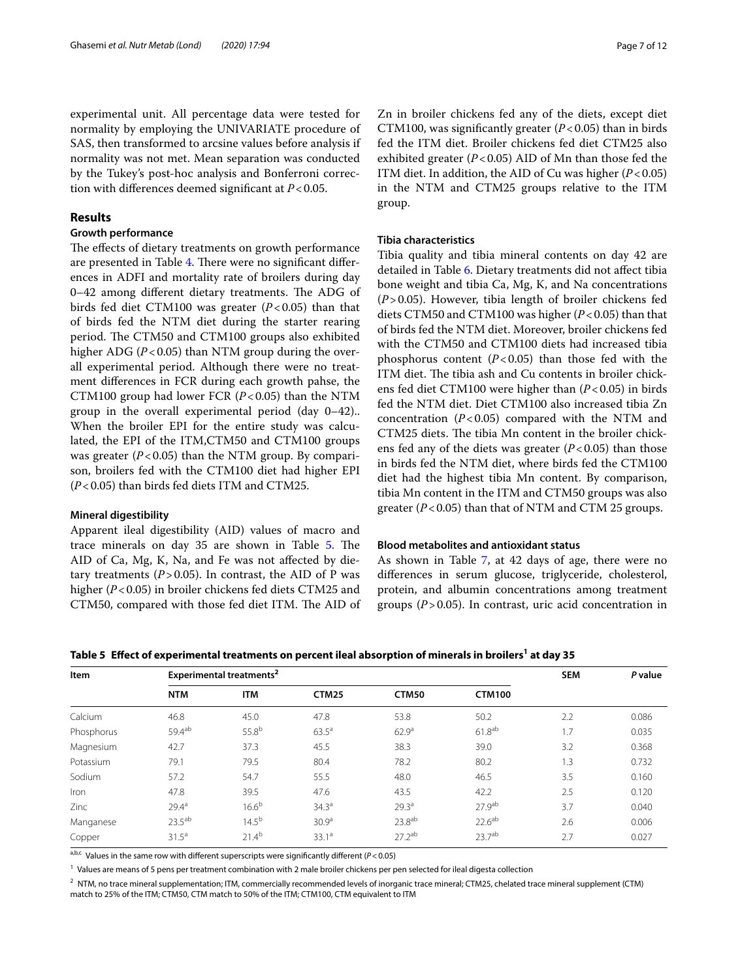experimental unit. All percentage data were tested for normality by employing the UNIVARIATE procedure of SAS, then transformed to arcsine values before analysis if normality was not met. Mean separation was conducted by the Tukey's post-hoc analysis and Bonferroni correction with diferences deemed signifcant at *P*<0.05.

# **Results**

# **Growth performance**

The effects of dietary treatments on growth performance are presented in Table [4.](#page-5-0) There were no significant differences in ADFI and mortality rate of broilers during day  $0-42$  among different dietary treatments. The ADG of birds fed diet CTM100 was greater (*P*<0.05) than that of birds fed the NTM diet during the starter rearing period. The CTM50 and CTM100 groups also exhibited higher ADG (*P*<0.05) than NTM group during the overall experimental period. Although there were no treatment diferences in FCR during each growth pahse, the CTM100 group had lower FCR  $(P<0.05)$  than the NTM group in the overall experimental period (day 0–42).. When the broiler EPI for the entire study was calculated, the EPI of the ITM,CTM50 and CTM100 groups was greater  $(P<0.05)$  than the NTM group. By comparison, broilers fed with the CTM100 diet had higher EPI (*P*<0.05) than birds fed diets ITM and CTM25.

# **Mineral digestibility**

Apparent ileal digestibility (AID) values of macro and trace minerals on day 35 are shown in Table [5.](#page-6-0) The AID of Ca, Mg, K, Na, and Fe was not afected by dietary treatments  $(P > 0.05)$ . In contrast, the AID of P was higher (*P*<0.05) in broiler chickens fed diets CTM25 and CTM50, compared with those fed diet ITM. The AID of

Zn in broiler chickens fed any of the diets, except diet CTM100, was significantly greater  $(P<0.05)$  than in birds fed the ITM diet. Broiler chickens fed diet CTM25 also exhibited greater  $(P<0.05)$  AID of Mn than those fed the ITM diet. In addition, the AID of Cu was higher (*P*<0.05) in the NTM and CTM25 groups relative to the ITM group.

# **Tibia characteristics**

Tibia quality and tibia mineral contents on day 42 are detailed in Table [6.](#page-7-0) Dietary treatments did not afect tibia bone weight and tibia Ca, Mg, K, and Na concentrations (*P*>0.05). However, tibia length of broiler chickens fed diets CTM50 and CTM100 was higher (*P*<0.05) than that of birds fed the NTM diet. Moreover, broiler chickens fed with the CTM50 and CTM100 diets had increased tibia phosphorus content  $(P<0.05)$  than those fed with the ITM diet. The tibia ash and Cu contents in broiler chickens fed diet CTM100 were higher than (*P*<0.05) in birds fed the NTM diet. Diet CTM100 also increased tibia Zn concentration  $(P<0.05)$  compared with the NTM and CTM25 diets. The tibia Mn content in the broiler chickens fed any of the diets was greater (*P*<0.05) than those in birds fed the NTM diet, where birds fed the CTM100 diet had the highest tibia Mn content. By comparison, tibia Mn content in the ITM and CTM50 groups was also greater  $(P<0.05)$  than that of NTM and CTM 25 groups.

# **Blood metabolites and antioxidant status**

As shown in Table [7,](#page-7-1) at 42 days of age, there were no diferences in serum glucose, triglyceride, cholesterol, protein, and albumin concentrations among treatment groups (*P*>0.05). In contrast, uric acid concentration in

<span id="page-6-0"></span>Table 5  $\,$  **Effect of experimental treatments on percent ileal absorption of minerals in broilers<sup>1</sup> at day 35**  $\,$ 

| <b>Item</b> | Experimental treatments <sup>2</sup> | <b>SEM</b> | P value           |                   |                    |     |       |
|-------------|--------------------------------------|------------|-------------------|-------------------|--------------------|-----|-------|
|             | <b>NTM</b>                           | <b>ITM</b> | <b>CTM25</b>      | CTM50             | <b>CTM100</b>      |     |       |
| Calcium     | 46.8                                 | 45.0       | 47.8              | 53.8              | 50.2               | 2.2 | 0.086 |
| Phosphorus  | 59.4ab                               | $55.8^{b}$ | $63.5^{\circ}$    | 62.9 <sup>a</sup> | $61.8^{ab}$        | 1.7 | 0.035 |
| Magnesium   | 42.7                                 | 37.3       | 45.5              | 38.3              | 39.0               | 3.2 | 0.368 |
| Potassium   | 79.1                                 | 79.5       | 80.4              | 78.2              | 80.2               | 1.3 | 0.732 |
| Sodium      | 57.2                                 | 54.7       | 55.5              | 48.0              | 46.5               | 3.5 | 0.160 |
| Iron        | 47.8                                 | 39.5       | 47.6              | 43.5              | 42.2               | 2.5 | 0.120 |
| Zinc        | 29.4 <sup>a</sup>                    | $16.6^{b}$ | 34.3 <sup>a</sup> | 29.3 <sup>a</sup> | 27.9 <sup>ab</sup> | 3.7 | 0.040 |
| Manganese   | $23.5^{ab}$                          | $14.5^{b}$ | 30.9 <sup>a</sup> | $23.8^{ab}$       | $22.6^{ab}$        | 2.6 | 0.006 |
| Copper      | $31.5^{\circ}$                       | $21.4^{b}$ | 33.1 <sup>a</sup> | $27.2^{ab}$       | 23.7 <sup>ab</sup> | 2.7 | 0.027 |

a,b,c Values in the same row with different superscripts were significantly different (P<0.05)

 $<sup>1</sup>$  Values are means of 5 pens per treatment combination with 2 male broiler chickens per pen selected for ileal digesta collection</sup>

 $^2$  NTM, no trace mineral supplementation; ITM, commercially recommended levels of inorganic trace mineral; CTM25, chelated trace mineral supplement (CTM) match to 25% of the ITM; CTM50, CTM match to 50% of the ITM; CTM100, CTM equivalent to ITM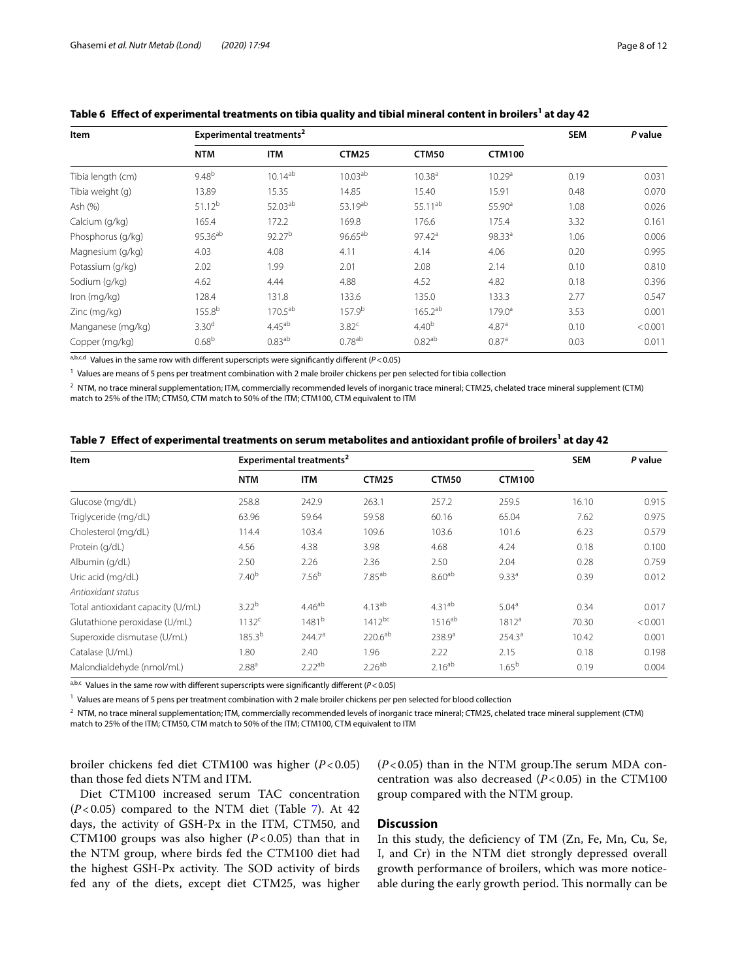| Item              |                     | Experimental treatments <sup>2</sup> |                    |                     |                    |      |         |  |
|-------------------|---------------------|--------------------------------------|--------------------|---------------------|--------------------|------|---------|--|
|                   | <b>NTM</b>          | <b>ITM</b>                           | <b>CTM25</b>       | CTM50               | <b>CTM100</b>      |      |         |  |
| Tibia length (cm) | $9.48^{b}$          | $10.14^{ab}$                         | $10.03^{ab}$       | 10.38 <sup>a</sup>  | 10.29 <sup>a</sup> | 0.19 | 0.031   |  |
| Tibia weight (g)  | 13.89               | 15.35                                | 14.85              | 15.40               | 15.91              | 0.48 | 0.070   |  |
| Ash (%)           | 51.12 <sup>b</sup>  | $52.03^{ab}$                         | 53.19ab            | 55.11 <sup>ab</sup> | 55.90 <sup>a</sup> | 1.08 | 0.026   |  |
| Calcium (g/kg)    | 165.4               | 172.2                                | 169.8              | 176.6               | 175.4              | 3.32 | 0.161   |  |
| Phosphorus (g/kg) | 95.36 <sup>ab</sup> | $92.27^{b}$                          | $96.65^{ab}$       | $97.42^a$           | 98.33 <sup>a</sup> | 1.06 | 0.006   |  |
| Magnesium (g/kg)  | 4.03                | 4.08                                 | 4.11               | 4.14                | 4.06               | 0.20 | 0.995   |  |
| Potassium (g/kg)  | 2.02                | 1.99                                 | 2.01               | 2.08                | 2.14               | 0.10 | 0.810   |  |
| Sodium (g/kg)     | 4.62                | 4.44                                 | 4.88               | 4.52                | 4.82               | 0.18 | 0.396   |  |
| Iron (mg/kg)      | 128.4               | 131.8                                | 133.6              | 135.0               | 133.3              | 2.77 | 0.547   |  |
| Zinc (mg/kg)      | 155.8 <sup>b</sup>  | $170.5^{ab}$                         | 157.9 <sup>b</sup> | $165.2^{ab}$        | $179.0^{\circ}$    | 3.53 | 0.001   |  |
| Manganese (mg/kg) | 3.30 <sup>d</sup>   | $4.45^{ab}$                          | 3.82 <sup>c</sup>  | $4.40^{b}$          | 4.87 <sup>a</sup>  | 0.10 | < 0.001 |  |
| Copper (mg/kg)    | $0.68^{b}$          | 0.83 <sup>ab</sup>                   | $0.78^{ab}$        | $0.82^{ab}$         | 0.87 <sup>a</sup>  | 0.03 | 0.011   |  |

# <span id="page-7-0"></span>Table 6  $\,$  **Effect of experimental treatments on tibia quality and tibial mineral content in broilers** $^1$  **at day 42**  $\,$

a,b,c,d Values in the same row with different superscripts were significantly different (P<0.05)

 $<sup>1</sup>$  Values are means of 5 pens per treatment combination with 2 male broiler chickens per pen selected for tibia collection</sup>

<sup>2</sup> NTM, no trace mineral supplementation; ITM, commercially recommended levels of inorganic trace mineral; CTM25, chelated trace mineral supplement (CTM) match to 25% of the ITM; CTM50, CTM match to 50% of the ITM; CTM100, CTM equivalent to ITM

<span id="page-7-1"></span>

|  |  | Table 7 Effect of experimental treatments on serum metabolites and antioxidant profile of broilers <sup>1</sup> at day 42 |  |
|--|--|---------------------------------------------------------------------------------------------------------------------------|--|
|--|--|---------------------------------------------------------------------------------------------------------------------------|--|

| <b>Item</b>                       | Experimental treatments <sup>2</sup> | <b>SEM</b>         | P value             |                    |                    |       |         |
|-----------------------------------|--------------------------------------|--------------------|---------------------|--------------------|--------------------|-------|---------|
|                                   | <b>NTM</b>                           | <b>ITM</b>         | CTM25               | CTM50              | <b>CTM100</b>      |       |         |
| Glucose (mg/dL)                   | 258.8                                | 242.9              | 263.1               | 257.2              | 259.5              | 16.10 | 0.915   |
| Triglyceride (mg/dL)              | 63.96                                | 59.64              | 59.58               | 60.16              | 65.04              | 7.62  | 0.975   |
| Cholesterol (mg/dL)               | 114.4                                | 103.4              | 109.6               | 103.6              | 101.6              | 6.23  | 0.579   |
| Protein (g/dL)                    | 4.56                                 | 4.38               | 3.98                | 4.68               | 4.24               | 0.18  | 0.100   |
| Albumin (g/dL)                    | 2.50                                 | 2.26               | 2.36                | 2.50               | 2.04               | 0.28  | 0.759   |
| Uric acid (mg/dL)                 | 7.40 <sup>b</sup>                    | 7.56 <sup>b</sup>  | $7.85^{ab}$         | $8.60^{ab}$        | 9.33 <sup>a</sup>  | 0.39  | 0.012   |
| Antioxidant status                |                                      |                    |                     |                    |                    |       |         |
| Total antioxidant capacity (U/mL) | 3.22 <sup>b</sup>                    | $4.46^{ab}$        | $4.13^{ab}$         | $4.31^{ab}$        | 5.04 <sup>a</sup>  | 0.34  | 0.017   |
| Glutathione peroxidase (U/mL)     | 1132 <sup>c</sup>                    | $1481^{b}$         | $1412^{bc}$         | $1516^{ab}$        | $1812^a$           | 70.30 | < 0.001 |
| Superoxide dismutase (U/mL)       | $185.3^{b}$                          | 244.7 <sup>a</sup> | 220.6 <sup>ab</sup> | 238.9 <sup>a</sup> | 254.3 <sup>a</sup> | 10.42 | 0.001   |
| Catalase (U/mL)                   | 1.80                                 | 2.40               | 1.96                | 2.22               | 2.15               | 0.18  | 0.198   |
| Malondialdehyde (nmol/mL)         | 2.88 <sup>a</sup>                    | $2.22^{ab}$        | $2.26^{ab}$         | $2.16^{ab}$        | 1.65 <sup>b</sup>  | 0.19  | 0.004   |

a,b,c Values in the same row with different superscripts were significantly different (P<0.05)

<sup>1</sup> Values are means of 5 pens per treatment combination with 2 male broiler chickens per pen selected for blood collection

 $^2$  NTM, no trace mineral supplementation; ITM, commercially recommended levels of inorganic trace mineral; CTM25, chelated trace mineral supplement (CTM) match to 25% of the ITM; CTM50, CTM match to 50% of the ITM; CTM100, CTM equivalent to ITM

broiler chickens fed diet CTM100 was higher (*P*<0.05) than those fed diets NTM and ITM.

Diet CTM100 increased serum TAC concentration  $(P<0.05)$  compared to the NTM diet (Table [7](#page-7-1)). At 42 days, the activity of GSH-Px in the ITM, CTM50, and CTM100 groups was also higher  $(P<0.05)$  than that in the NTM group, where birds fed the CTM100 diet had the highest GSH-Px activity. The SOD activity of birds fed any of the diets, except diet CTM25, was higher

 $(P<0.05)$  than in the NTM group. The serum MDA concentration was also decreased  $(P<0.05)$  in the CTM100 group compared with the NTM group.

# **Discussion**

In this study, the defciency of TM (Zn, Fe, Mn, Cu, Se, I, and Cr) in the NTM diet strongly depressed overall growth performance of broilers, which was more noticeable during the early growth period. This normally can be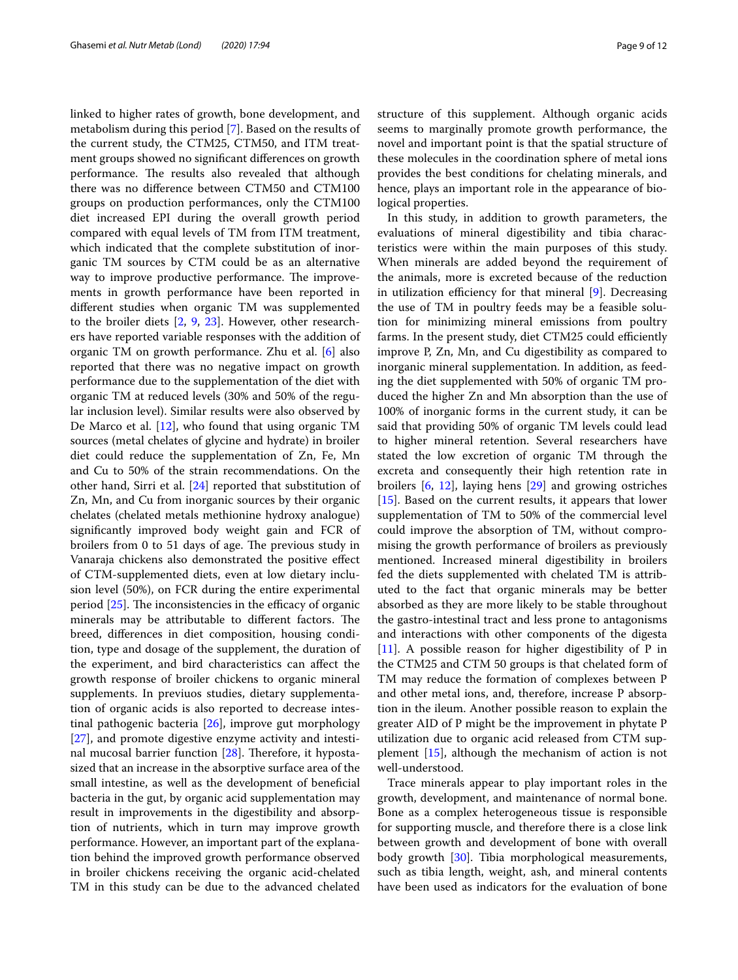linked to higher rates of growth, bone development, and metabolism during this period [\[7\]](#page-10-6). Based on the results of the current study, the CTM25, CTM50, and ITM treatment groups showed no signifcant diferences on growth performance. The results also revealed that although there was no diference between CTM50 and CTM100 groups on production performances, only the CTM100 diet increased EPI during the overall growth period compared with equal levels of TM from ITM treatment, which indicated that the complete substitution of inorganic TM sources by CTM could be as an alternative way to improve productive performance. The improvements in growth performance have been reported in diferent studies when organic TM was supplemented to the broiler diets [\[2](#page-10-1), [9](#page-10-7), [23](#page-10-21)]. However, other researchers have reported variable responses with the addition of organic TM on growth performance. Zhu et al. [[6\]](#page-10-5) also reported that there was no negative impact on growth performance due to the supplementation of the diet with organic TM at reduced levels (30% and 50% of the regular inclusion level). Similar results were also observed by De Marco et al. [\[12\]](#page-10-10), who found that using organic TM sources (metal chelates of glycine and hydrate) in broiler diet could reduce the supplementation of Zn, Fe, Mn and Cu to 50% of the strain recommendations. On the other hand, Sirri et al. [[24\]](#page-10-22) reported that substitution of Zn, Mn, and Cu from inorganic sources by their organic chelates (chelated metals methionine hydroxy analogue) signifcantly improved body weight gain and FCR of broilers from 0 to 51 days of age. The previous study in Vanaraja chickens also demonstrated the positive efect of CTM-supplemented diets, even at low dietary inclusion level (50%), on FCR during the entire experimental period  $[25]$  $[25]$ . The inconsistencies in the efficacy of organic minerals may be attributable to different factors. The breed, diferences in diet composition, housing condition, type and dosage of the supplement, the duration of the experiment, and bird characteristics can afect the growth response of broiler chickens to organic mineral supplements. In previuos studies, dietary supplementation of organic acids is also reported to decrease intestinal pathogenic bacteria [[26\]](#page-10-24), improve gut morphology [[27\]](#page-11-0), and promote digestive enzyme activity and intestinal mucosal barrier function  $[28]$ . Therefore, it hypostasized that an increase in the absorptive surface area of the small intestine, as well as the development of benefcial bacteria in the gut, by organic acid supplementation may result in improvements in the digestibility and absorption of nutrients, which in turn may improve growth performance. However, an important part of the explanation behind the improved growth performance observed in broiler chickens receiving the organic acid-chelated TM in this study can be due to the advanced chelated structure of this supplement. Although organic acids seems to marginally promote growth performance, the novel and important point is that the spatial structure of these molecules in the coordination sphere of metal ions provides the best conditions for chelating minerals, and hence, plays an important role in the appearance of biological properties.

In this study, in addition to growth parameters, the evaluations of mineral digestibility and tibia characteristics were within the main purposes of this study. When minerals are added beyond the requirement of the animals, more is excreted because of the reduction in utilization efficiency for that mineral  $[9]$  $[9]$ . Decreasing the use of TM in poultry feeds may be a feasible solution for minimizing mineral emissions from poultry farms. In the present study, diet CTM25 could efficiently improve P, Zn, Mn, and Cu digestibility as compared to inorganic mineral supplementation. In addition, as feeding the diet supplemented with 50% of organic TM produced the higher Zn and Mn absorption than the use of 100% of inorganic forms in the current study, it can be said that providing 50% of organic TM levels could lead to higher mineral retention. Several researchers have stated the low excretion of organic TM through the excreta and consequently their high retention rate in broilers [\[6](#page-10-5), [12](#page-10-10)], laying hens [\[29\]](#page-11-2) and growing ostriches [[15\]](#page-10-13). Based on the current results, it appears that lower supplementation of TM to 50% of the commercial level could improve the absorption of TM, without compromising the growth performance of broilers as previously mentioned. Increased mineral digestibility in broilers fed the diets supplemented with chelated TM is attributed to the fact that organic minerals may be better absorbed as they are more likely to be stable throughout the gastro-intestinal tract and less prone to antagonisms and interactions with other components of the digesta [[11\]](#page-10-9). A possible reason for higher digestibility of P in the CTM25 and CTM 50 groups is that chelated form of TM may reduce the formation of complexes between P and other metal ions, and, therefore, increase P absorption in the ileum. Another possible reason to explain the greater AID of P might be the improvement in phytate P utilization due to organic acid released from CTM supplement [\[15](#page-10-13)], although the mechanism of action is not well-understood.

Trace minerals appear to play important roles in the growth, development, and maintenance of normal bone. Bone as a complex heterogeneous tissue is responsible for supporting muscle, and therefore there is a close link between growth and development of bone with overall body growth [[30\]](#page-11-3). Tibia morphological measurements, such as tibia length, weight, ash, and mineral contents have been used as indicators for the evaluation of bone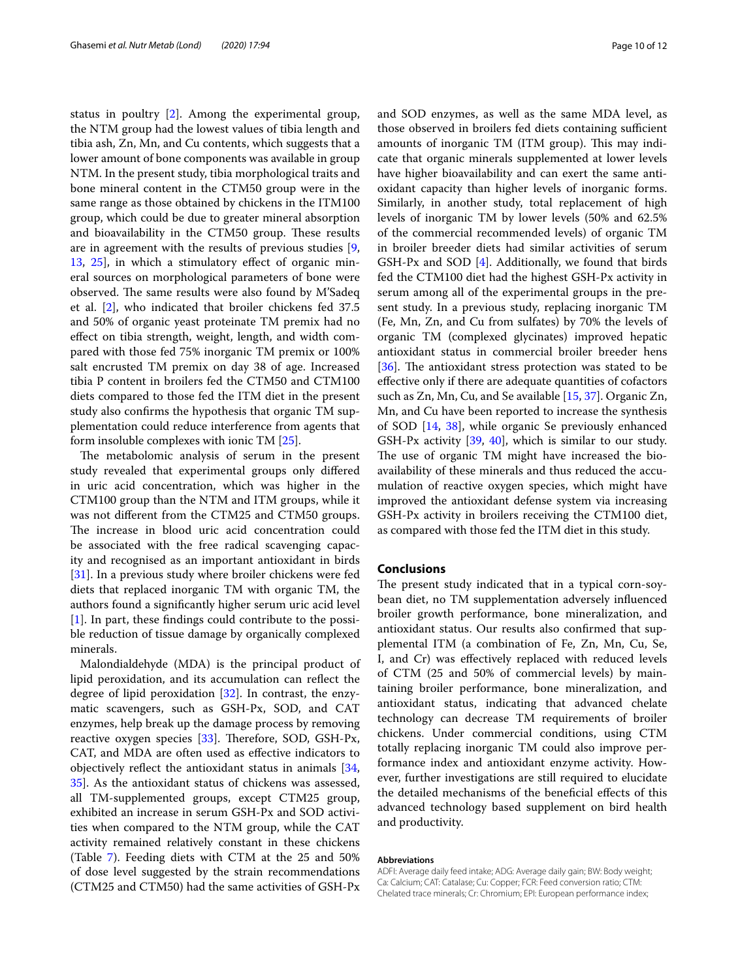status in poultry [[2\]](#page-10-1). Among the experimental group, the NTM group had the lowest values of tibia length and tibia ash, Zn, Mn, and Cu contents, which suggests that a lower amount of bone components was available in group NTM. In the present study, tibia morphological traits and bone mineral content in the CTM50 group were in the same range as those obtained by chickens in the ITM100 group, which could be due to greater mineral absorption and bioavailability in the CTM50 group. These results are in agreement with the results of previous studies [\[9](#page-10-7), [13,](#page-10-11) [25](#page-10-23)], in which a stimulatory efect of organic mineral sources on morphological parameters of bone were observed. The same results were also found by M'Sadeq et al. [[2\]](#page-10-1), who indicated that broiler chickens fed 37.5 and 50% of organic yeast proteinate TM premix had no efect on tibia strength, weight, length, and width compared with those fed 75% inorganic TM premix or 100% salt encrusted TM premix on day 38 of age. Increased tibia P content in broilers fed the CTM50 and CTM100 diets compared to those fed the ITM diet in the present study also confrms the hypothesis that organic TM supplementation could reduce interference from agents that form insoluble complexes with ionic TM [[25\]](#page-10-23).

The metabolomic analysis of serum in the present study revealed that experimental groups only difered in uric acid concentration, which was higher in the CTM100 group than the NTM and ITM groups, while it was not diferent from the CTM25 and CTM50 groups. The increase in blood uric acid concentration could be associated with the free radical scavenging capacity and recognised as an important antioxidant in birds [[31\]](#page-11-4). In a previous study where broiler chickens were fed diets that replaced inorganic TM with organic TM, the authors found a signifcantly higher serum uric acid level [[1\]](#page-10-0). In part, these fndings could contribute to the possible reduction of tissue damage by organically complexed minerals.

Malondialdehyde (MDA) is the principal product of lipid peroxidation, and its accumulation can refect the degree of lipid peroxidation [\[32](#page-11-5)]. In contrast, the enzymatic scavengers, such as GSH-Px, SOD, and CAT enzymes, help break up the damage process by removing reactive oxygen species  $[33]$  $[33]$  $[33]$ . Therefore, SOD, GSH-Px, CAT, and MDA are often used as efective indicators to objectively refect the antioxidant status in animals [\[34](#page-11-7), [35\]](#page-11-8). As the antioxidant status of chickens was assessed, all TM-supplemented groups, except CTM25 group, exhibited an increase in serum GSH-Px and SOD activities when compared to the NTM group, while the CAT activity remained relatively constant in these chickens (Table [7](#page-7-1)). Feeding diets with CTM at the 25 and 50% of dose level suggested by the strain recommendations (CTM25 and CTM50) had the same activities of GSH-Px and SOD enzymes, as well as the same MDA level, as those observed in broilers fed diets containing sufficient amounts of inorganic TM (ITM group). This may indicate that organic minerals supplemented at lower levels have higher bioavailability and can exert the same antioxidant capacity than higher levels of inorganic forms. Similarly, in another study, total replacement of high levels of inorganic TM by lower levels (50% and 62.5% of the commercial recommended levels) of organic TM in broiler breeder diets had similar activities of serum GSH-Px and SOD [[4\]](#page-10-3). Additionally, we found that birds fed the CTM100 diet had the highest GSH-Px activity in serum among all of the experimental groups in the present study. In a previous study, replacing inorganic TM (Fe, Mn, Zn, and Cu from sulfates) by 70% the levels of organic TM (complexed glycinates) improved hepatic antioxidant status in commercial broiler breeder hens  $[36]$  $[36]$ . The antioxidant stress protection was stated to be efective only if there are adequate quantities of cofactors such as Zn, Mn, Cu, and Se available [[15](#page-10-13), [37\]](#page-11-10). Organic Zn, Mn, and Cu have been reported to increase the synthesis of SOD [[14,](#page-10-12) [38\]](#page-11-11), while organic Se previously enhanced GSH-Px activity [\[39,](#page-11-12) [40\]](#page-11-13), which is similar to our study. The use of organic TM might have increased the bioavailability of these minerals and thus reduced the accumulation of reactive oxygen species, which might have improved the antioxidant defense system via increasing GSH-Px activity in broilers receiving the CTM100 diet, as compared with those fed the ITM diet in this study.

# **Conclusions**

The present study indicated that in a typical corn-soybean diet, no TM supplementation adversely infuenced broiler growth performance, bone mineralization, and antioxidant status. Our results also confrmed that supplemental ITM (a combination of Fe, Zn, Mn, Cu, Se, I, and Cr) was efectively replaced with reduced levels of CTM (25 and 50% of commercial levels) by maintaining broiler performance, bone mineralization, and antioxidant status, indicating that advanced chelate technology can decrease TM requirements of broiler chickens. Under commercial conditions, using CTM totally replacing inorganic TM could also improve performance index and antioxidant enzyme activity. However, further investigations are still required to elucidate the detailed mechanisms of the beneficial effects of this advanced technology based supplement on bird health and productivity.

#### **Abbreviations**

ADFI: Average daily feed intake; ADG: Average daily gain; BW: Body weight; Ca: Calcium; CAT: Catalase; Cu: Copper; FCR: Feed conversion ratio; CTM: Chelated trace minerals; Cr: Chromium; EPI: European performance index;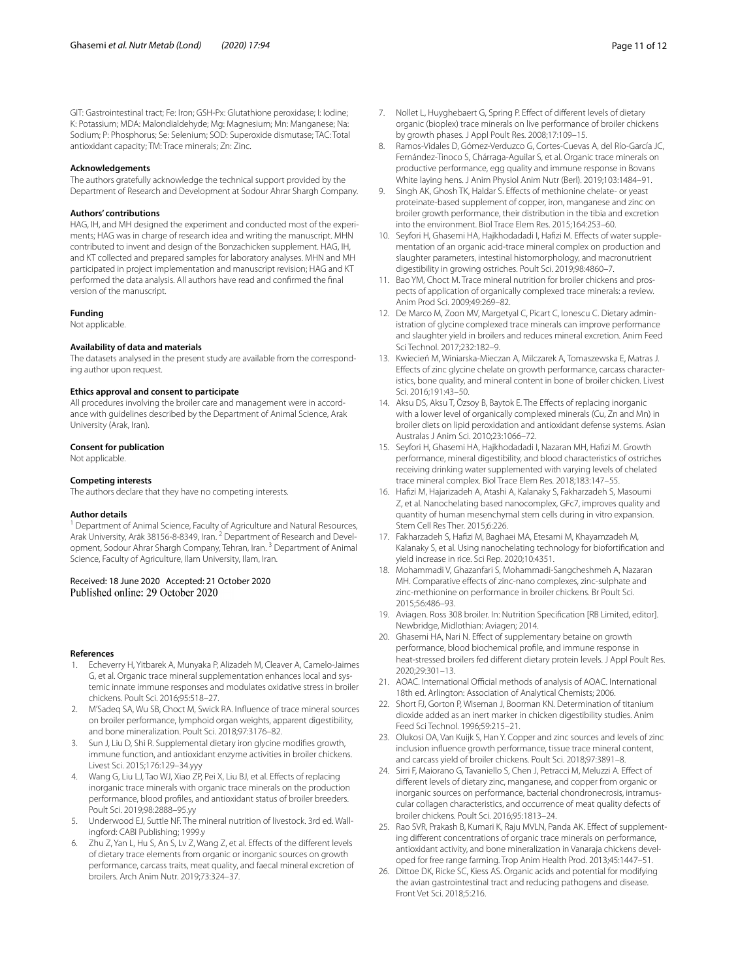GIT: Gastrointestinal tract; Fe: Iron; GSH-Px: Glutathione peroxidase; I: Iodine; K: Potassium; MDA: Malondialdehyde; Mg: Magnesium; Mn: Manganese; Na: Sodium; P: Phosphorus; Se: Selenium; SOD: Superoxide dismutase; TAC: Total antioxidant capacity; TM: Trace minerals; Zn: Zinc.

#### **Acknowledgements**

The authors gratefully acknowledge the technical support provided by the Department of Research and Development at Sodour Ahrar Shargh Company.

#### **Authors' contributions**

HAG, IH, and MH designed the experiment and conducted most of the experiments; HAG was in charge of research idea and writing the manuscript. MHN contributed to invent and design of the Bonzachicken supplement. HAG, IH, and KT collected and prepared samples for laboratory analyses. MHN and MH participated in project implementation and manuscript revision; HAG and KT performed the data analysis. All authors have read and confrmed the fnal version of the manuscript.

## **Funding**

Not applicable.

#### **Availability of data and materials**

The datasets analysed in the present study are available from the corresponding author upon request.

#### **Ethics approval and consent to participate**

All procedures involving the broiler care and management were in accordance with guidelines described by the Department of Animal Science, Arak University (Arak, Iran).

#### **Consent for publication**

Not applicable.

### **Competing interests**

The authors declare that they have no competing interests.

#### **Author details**

<sup>1</sup> Department of Animal Science, Faculty of Agriculture and Natural Resources, Arak University, Arāk 38156-8-8349, Iran.<sup>2</sup> Department of Research and Development, Sodour Ahrar Shargh Company, Tehran, Iran. 3 Department of Animal Science, Faculty of Agriculture, Ilam University, Ilam, Iran.

# Received: 18 June 2020 Accepted: 21 October 2020<br>Published online: 29 October 2020

# **References**

- <span id="page-10-0"></span>1. Echeverry H, Yitbarek A, Munyaka P, Alizadeh M, Cleaver A, Camelo-Jaimes G, et al. Organic trace mineral supplementation enhances local and systemic innate immune responses and modulates oxidative stress in broiler chickens. Poult Sci. 2016;95:518–27.
- <span id="page-10-1"></span>2. M'Sadeq SA, Wu SB, Choct M, Swick RA. Infuence of trace mineral sources on broiler performance, lymphoid organ weights, apparent digestibility, and bone mineralization. Poult Sci. 2018;97:3176–82.
- <span id="page-10-2"></span>3. Sun J, Liu D, Shi R. Supplemental dietary iron glycine modifes growth, immune function, and antioxidant enzyme activities in broiler chickens. Livest Sci. 2015;176:129–34.yyy
- <span id="page-10-3"></span>4. Wang G, Liu LJ, Tao WJ, Xiao ZP, Pei X, Liu BJ, et al. Effects of replacing inorganic trace minerals with organic trace minerals on the production performance, blood profles, and antioxidant status of broiler breeders. Poult Sci. 2019;98:2888–95.yy
- <span id="page-10-4"></span>5. Underwood EJ, Suttle NF. The mineral nutrition of livestock. 3rd ed. Wallingford: CABI Publishing; 1999.y
- <span id="page-10-5"></span>Zhu Z, Yan L, Hu S, An S, Lv Z, Wang Z, et al. Effects of the different levels of dietary trace elements from organic or inorganic sources on growth performance, carcass traits, meat quality, and faecal mineral excretion of broilers. Arch Anim Nutr. 2019;73:324–37.
- <span id="page-10-6"></span>7. Nollet L, Huyghebaert G, Spring P. Efect of diferent levels of dietary organic (bioplex) trace minerals on live performance of broiler chickens by growth phases. J Appl Poult Res. 2008;17:109–15.
- 8. Ramos-Vidales D, Gómez-Verduzco G, Cortes-Cuevas A, del Río-García JC, Fernández-Tinoco S, Chárraga-Aguilar S, et al. Organic trace minerals on productive performance, egg quality and immune response in Bovans White laying hens. J Anim Physiol Anim Nutr (Berl). 2019;103:1484–91.
- <span id="page-10-7"></span>9. Singh AK, Ghosh TK, Haldar S. Efects of methionine chelate- or yeast proteinate-based supplement of copper, iron, manganese and zinc on broiler growth performance, their distribution in the tibia and excretion into the environment. Biol Trace Elem Res. 2015;164:253–60.
- <span id="page-10-8"></span>10. Seyfori H, Ghasemi HA, Hajkhodadadi I, Hafzi M. Efects of water supplementation of an organic acid-trace mineral complex on production and slaughter parameters, intestinal histomorphology, and macronutrient digestibility in growing ostriches. Poult Sci. 2019;98:4860–7.
- <span id="page-10-9"></span>11. Bao YM, Choct M. Trace mineral nutrition for broiler chickens and prospects of application of organically complexed trace minerals: a review. Anim Prod Sci. 2009;49:269–82.
- <span id="page-10-10"></span>12. De Marco M, Zoon MV, Margetyal C, Picart C, Ionescu C. Dietary administration of glycine complexed trace minerals can improve performance and slaughter yield in broilers and reduces mineral excretion. Anim Feed Sci Technol. 2017;232:182–9.
- <span id="page-10-11"></span>13. Kwiecień M, Winiarska-Mieczan A, Milczarek A, Tomaszewska E, Matras J. Efects of zinc glycine chelate on growth performance, carcass characteristics, bone quality, and mineral content in bone of broiler chicken. Livest Sci. 2016;191:43–50.
- <span id="page-10-12"></span>14. Aksu DS, Aksu T, Özsoy B, Baytok E. The Effects of replacing inorganic with a lower level of organically complexed minerals (Cu, Zn and Mn) in broiler diets on lipid peroxidation and antioxidant defense systems. Asian Australas J Anim Sci. 2010;23:1066–72.
- <span id="page-10-13"></span>15. Seyfori H, Ghasemi HA, Hajkhodadadi I, Nazaran MH, Hafzi M. Growth performance, mineral digestibility, and blood characteristics of ostriches receiving drinking water supplemented with varying levels of chelated trace mineral complex. Biol Trace Elem Res. 2018;183:147–55.
- <span id="page-10-14"></span>16. Hafzi M, Hajarizadeh A, Atashi A, Kalanaky S, Fakharzadeh S, Masoumi Z, et al. Nanochelating based nanocomplex, GFc7, improves quality and quantity of human mesenchymal stem cells during in vitro expansion. Stem Cell Res Ther. 2015;6:226.
- <span id="page-10-15"></span>17. Fakharzadeh S, Hafzi M, Baghaei MA, Etesami M, Khayamzadeh M, Kalanaky S, et al. Using nanochelating technology for biofortifcation and yield increase in rice. Sci Rep. 2020;10:4351.
- <span id="page-10-16"></span>18. Mohammadi V, Ghazanfari S, Mohammadi-Sangcheshmeh A, Nazaran MH. Comparative effects of zinc-nano complexes, zinc-sulphate and zinc-methionine on performance in broiler chickens. Br Poult Sci. 2015;56:486–93.
- <span id="page-10-17"></span>19. Aviagen. Ross 308 broiler. In: Nutrition Specifcation [RB Limited, editor]. Newbridge, Midlothian: Aviagen; 2014.
- <span id="page-10-18"></span>20. Ghasemi HA, Nari N. Efect of supplementary betaine on growth performance, blood biochemical profle, and immune response in heat-stressed broilers fed diferent dietary protein levels. J Appl Poult Res. 2020;29:301–13.
- <span id="page-10-19"></span>21. AOAC. International Official methods of analysis of AOAC. International 18th ed. Arlington: Association of Analytical Chemists; 2006.
- <span id="page-10-20"></span>22. Short FJ, Gorton P, Wiseman J, Boorman KN. Determination of titanium dioxide added as an inert marker in chicken digestibility studies. Anim Feed Sci Technol. 1996;59:215–21.
- <span id="page-10-21"></span>23. Olukosi OA, Van Kuijk S, Han Y. Copper and zinc sources and levels of zinc inclusion infuence growth performance, tissue trace mineral content, and carcass yield of broiler chickens. Poult Sci. 2018;97:3891–8.
- <span id="page-10-22"></span>24. Sirri F, Maiorano G, Tavaniello S, Chen J, Petracci M, Meluzzi A. Efect of diferent levels of dietary zinc, manganese, and copper from organic or inorganic sources on performance, bacterial chondronecrosis, intramuscular collagen characteristics, and occurrence of meat quality defects of broiler chickens. Poult Sci. 2016;95:1813–24.
- <span id="page-10-23"></span>25. Rao SVR, Prakash B, Kumari K, Raju MVLN, Panda AK. Efect of supplementing diferent concentrations of organic trace minerals on performance, antioxidant activity, and bone mineralization in Vanaraja chickens developed for free range farming. Trop Anim Health Prod. 2013;45:1447–51.
- <span id="page-10-24"></span>26. Dittoe DK, Ricke SC, Kiess AS. Organic acids and potential for modifying the avian gastrointestinal tract and reducing pathogens and disease. Front Vet Sci. 2018;5:216.